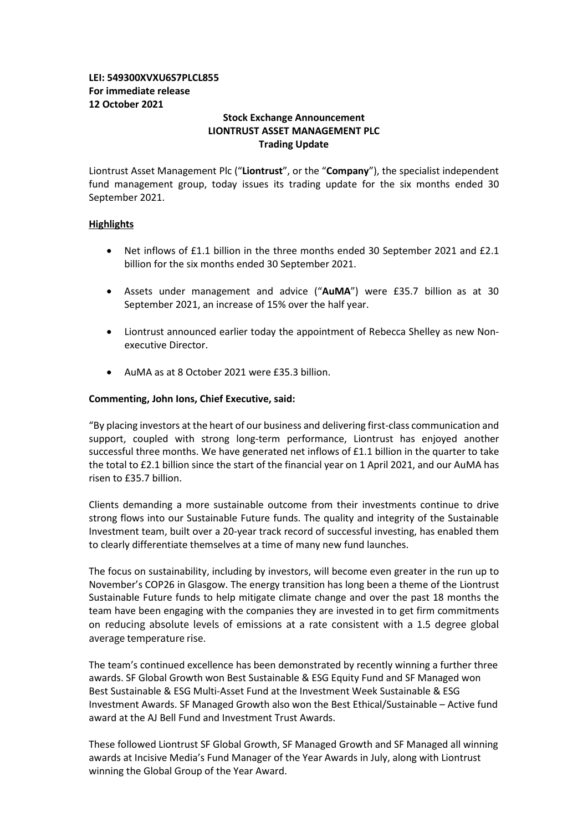## **LEI: 549300XVXU6S7PLCL855 For immediate release 12 October 2021**

## **Stock Exchange Announcement LIONTRUST ASSET MANAGEMENT PLC Trading Update**

Liontrust Asset Management Plc ("**Liontrust**", or the "**Company**"), the specialist independent fund management group, today issues its trading update for the six months ended 30 September 2021.

## **Highlights**

- Net inflows of £1.1 billion in the three months ended 30 September 2021 and £2.1 billion for the six months ended 30 September 2021.
- Assets under management and advice ("**AuMA**") were £35.7 billion as at 30 September 2021, an increase of 15% over the half year.
- Liontrust announced earlier today the appointment of Rebecca Shelley as new Nonexecutive Director.
- AuMA as at 8 October 2021 were £35.3 billion.

## **Commenting, John Ions, Chief Executive, said:**

"By placing investors at the heart of our business and delivering first-class communication and support, coupled with strong long-term performance, Liontrust has enjoyed another successful three months. We have generated net inflows of £1.1 billion in the quarter to take the total to £2.1 billion since the start of the financial year on 1 April 2021, and our AuMA has risen to £35.7 billion.

Clients demanding a more sustainable outcome from their investments continue to drive strong flows into our Sustainable Future funds. The quality and integrity of the Sustainable Investment team, built over a 20-year track record of successful investing, has enabled them to clearly differentiate themselves at a time of many new fund launches.

The focus on sustainability, including by investors, will become even greater in the run up to November's COP26 in Glasgow. The energy transition has long been a theme of the Liontrust Sustainable Future funds to help mitigate climate change and over the past 18 months the team have been engaging with the companies they are invested in to get firm commitments on reducing absolute levels of emissions at a rate consistent with a 1.5 degree global average temperature rise.

The team's continued excellence has been demonstrated by recently winning a further three awards. SF Global Growth won Best Sustainable & ESG Equity Fund and SF Managed won Best Sustainable & ESG Multi-Asset Fund at the Investment Week Sustainable & ESG Investment Awards. SF Managed Growth also won the Best Ethical/Sustainable – Active fund award at the AJ Bell Fund and Investment Trust Awards.

These followed Liontrust SF Global Growth, SF Managed Growth and SF Managed all winning awards at Incisive Media's Fund Manager of the Year Awards in July, along with Liontrust winning the Global Group of the Year Award.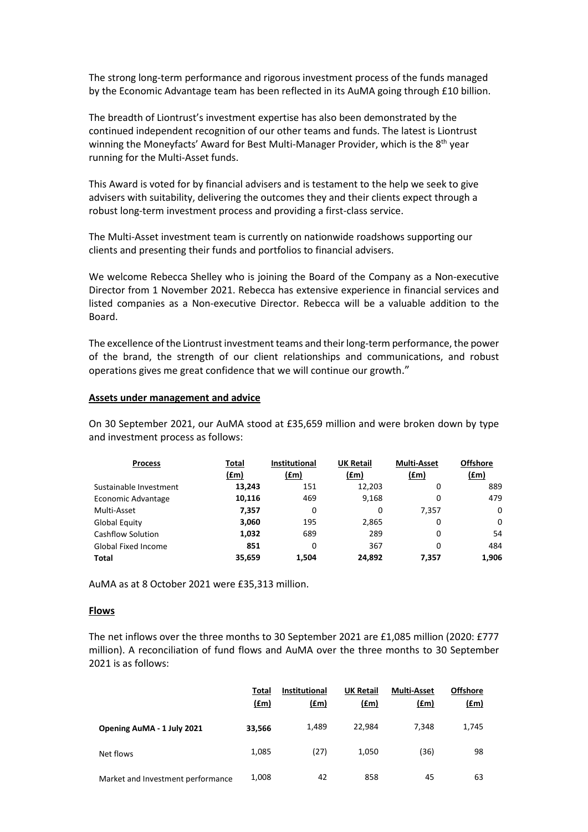The strong long-term performance and rigorous investment process of the funds managed by the Economic Advantage team has been reflected in its AuMA going through £10 billion.

The breadth of Liontrust's investment expertise has also been demonstrated by the continued independent recognition of our other teams and funds. The latest is Liontrust winning the Moneyfacts' Award for Best Multi-Manager Provider, which is the 8<sup>th</sup> year running for the Multi-Asset funds.

This Award is voted for by financial advisers and is testament to the help we seek to give advisers with suitability, delivering the outcomes they and their clients expect through a robust long-term investment process and providing a first-class service.

The Multi-Asset investment team is currently on nationwide roadshows supporting our clients and presenting their funds and portfolios to financial advisers.

We welcome Rebecca Shelley who is joining the Board of the Company as a Non-executive Director from 1 November 2021. Rebecca has extensive experience in financial services and listed companies as a Non-executive Director. Rebecca will be a valuable addition to the Board.

The excellence of the Liontrust investment teams and their long-term performance, the power of the brand, the strength of our client relationships and communications, and robust operations gives me great confidence that we will continue our growth."

#### **Assets under management and advice**

On 30 September 2021, our AuMA stood at £35,659 million and were broken down by type and investment process as follows:

| <b>Process</b>             | Total  | <b>Institutional</b> | <b>UK Retail</b> | <b>Multi-Asset</b> | <b>Offshore</b> |
|----------------------------|--------|----------------------|------------------|--------------------|-----------------|
|                            | (£m)   | (f.m)                | (£m)             | (fm)               | (£m)            |
| Sustainable Investment     | 13,243 | 151                  | 12,203           | 0                  | 889             |
| Economic Advantage         | 10,116 | 469                  | 9,168            | 0                  | 479             |
| Multi-Asset                | 7,357  | 0                    | 0                | 7.357              | 0               |
| Global Equity              | 3,060  | 195                  | 2,865            | 0                  | $\mathbf{0}$    |
| Cashflow Solution          | 1,032  | 689                  | 289              | 0                  | 54              |
| <b>Global Fixed Income</b> | 851    | 0                    | 367              | 0                  | 484             |
| <b>Total</b>               | 35,659 | 1.504                | 24,892           | 7.357              | 1,906           |

AuMA as at 8 October 2021 were £35,313 million.

#### **Flows**

The net inflows over the three months to 30 September 2021 are £1,085 million (2020: £777 million). A reconciliation of fund flows and AuMA over the three months to 30 September 2021 is as follows:

|                                   | Total<br>(f.m) | <b>Institutional</b><br>(f.m) | <b>UK Retail</b><br>(£m) | <b>Multi-Asset</b><br>(fm) | <b>Offshore</b><br><u>(£m)</u> |
|-----------------------------------|----------------|-------------------------------|--------------------------|----------------------------|--------------------------------|
| Opening AuMA - 1 July 2021        | 33,566         | 1,489                         | 22.984                   | 7.348                      | 1,745                          |
| Net flows                         | 1,085          | (27)                          | 1.050                    | (36)                       | 98                             |
| Market and Investment performance | 1,008          | 42                            | 858                      | 45                         | 63                             |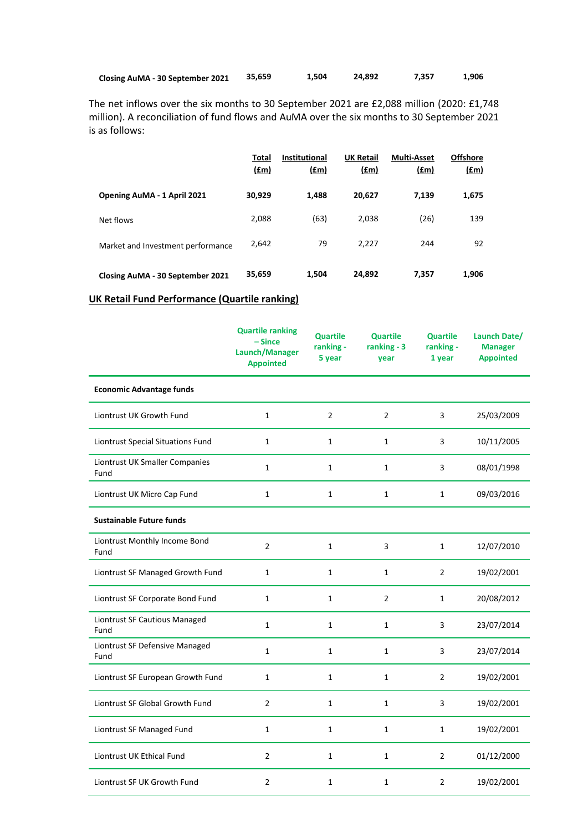| Closing AuMA - 30 September 2021 | 35,659 | 1,504 | 24,892 | 7,357 | 1,906 |
|----------------------------------|--------|-------|--------|-------|-------|
|----------------------------------|--------|-------|--------|-------|-------|

The net inflows over the six months to 30 September 2021 are £2,088 million (2020: £1,748 million). A reconciliation of fund flows and AuMA over the six months to 30 September 2021 is as follows:

|                                   | Total<br>$(\text{fm})$ | <b>Institutional</b><br>(f.m) | <b>UK Retail</b><br>(f.m) | <b>Multi-Asset</b><br>$(\text{fm})$ | <b>Offshore</b><br><u>(£m)</u> |
|-----------------------------------|------------------------|-------------------------------|---------------------------|-------------------------------------|--------------------------------|
| Opening AuMA - 1 April 2021       | 30,929                 | 1,488                         | 20,627                    | 7,139                               | 1,675                          |
| Net flows                         | 2,088                  | (63)                          | 2,038                     | (26)                                | 139                            |
| Market and Investment performance | 2,642                  | 79                            | 2,227                     | 244                                 | 92                             |
| Closing AuMA - 30 September 2021  | 35,659                 | 1,504                         | 24,892                    | 7,357                               | 1,906                          |

# **UK Retail Fund Performance (Quartile ranking)**

|                                        | <b>Quartile ranking</b><br>$-Since$<br>Launch/Manager<br><b>Appointed</b> | <b>Quartile</b><br>ranking -<br>5 year | <b>Quartile</b><br>ranking - 3<br>year | <b>Quartile</b><br>ranking -<br>1 year | Launch Date/<br><b>Manager</b><br><b>Appointed</b> |
|----------------------------------------|---------------------------------------------------------------------------|----------------------------------------|----------------------------------------|----------------------------------------|----------------------------------------------------|
| <b>Economic Advantage funds</b>        |                                                                           |                                        |                                        |                                        |                                                    |
| Liontrust UK Growth Fund               | $\mathbf{1}$                                                              | $\overline{2}$                         | $\overline{2}$                         | 3                                      | 25/03/2009                                         |
| Liontrust Special Situations Fund      | $\mathbf{1}$                                                              | $\mathbf{1}$                           | $\mathbf{1}$                           | 3                                      | 10/11/2005                                         |
| Liontrust UK Smaller Companies<br>Fund | $\mathbf{1}$                                                              | $\mathbf{1}$                           | $\mathbf{1}$                           | 3                                      | 08/01/1998                                         |
| Liontrust UK Micro Cap Fund            | $\mathbf{1}$                                                              | $\mathbf{1}$                           | $\mathbf{1}$                           | $\mathbf{1}$                           | 09/03/2016                                         |
| <b>Sustainable Future funds</b>        |                                                                           |                                        |                                        |                                        |                                                    |
| Liontrust Monthly Income Bond<br>Fund  | $\overline{2}$                                                            | $\mathbf{1}$                           | 3                                      | $\mathbf{1}$                           | 12/07/2010                                         |
| Liontrust SF Managed Growth Fund       | $\mathbf{1}$                                                              | $\mathbf{1}$                           | $\mathbf{1}$                           | $\overline{2}$                         | 19/02/2001                                         |
| Liontrust SF Corporate Bond Fund       | $\mathbf{1}$                                                              | $\mathbf{1}$                           | $\overline{2}$                         | $\mathbf{1}$                           | 20/08/2012                                         |
| Liontrust SF Cautious Managed<br>Fund  | $\mathbf{1}$                                                              | $\mathbf{1}$                           | $\mathbf{1}$                           | 3                                      | 23/07/2014                                         |
| Liontrust SF Defensive Managed<br>Fund | $\mathbf{1}$                                                              | $\mathbf{1}$                           | $\mathbf{1}$                           | 3                                      | 23/07/2014                                         |
| Liontrust SF European Growth Fund      | $\mathbf{1}$                                                              | $\mathbf{1}$                           | $\mathbf{1}$                           | 2                                      | 19/02/2001                                         |
| Liontrust SF Global Growth Fund        | $\overline{2}$                                                            | $\mathbf{1}$                           | $\mathbf{1}$                           | 3                                      | 19/02/2001                                         |
| Liontrust SF Managed Fund              | $\mathbf{1}$                                                              | $\mathbf{1}$                           | 1                                      | $\mathbf{1}$                           | 19/02/2001                                         |
| Liontrust UK Ethical Fund              | $\overline{2}$                                                            | $\mathbf{1}$                           | $\mathbf{1}$                           | $\overline{2}$                         | 01/12/2000                                         |
| Liontrust SF UK Growth Fund            | $\overline{2}$                                                            | $\mathbf{1}$                           | 1                                      | $\overline{2}$                         | 19/02/2001                                         |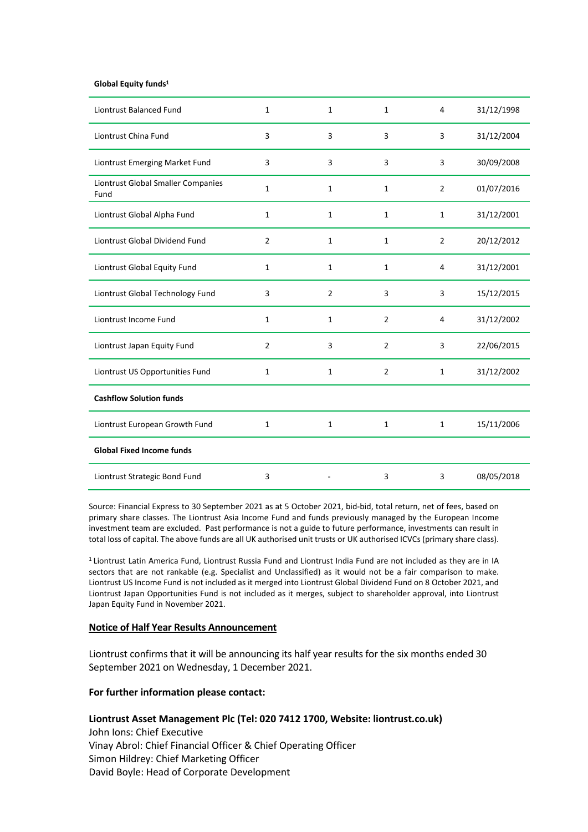#### **Global Equity funds1**

| <b>Liontrust Balanced Fund</b>             | 1              | 1              | $\mathbf{1}$   | 4              | 31/12/1998 |
|--------------------------------------------|----------------|----------------|----------------|----------------|------------|
| Liontrust China Fund                       | 3              | 3              | 3              | 3              | 31/12/2004 |
| Liontrust Emerging Market Fund             | 3              | 3              | 3              | 3              | 30/09/2008 |
| Liontrust Global Smaller Companies<br>Fund | $\mathbf{1}$   | 1              | 1              | $\overline{2}$ | 01/07/2016 |
| Liontrust Global Alpha Fund                | 1              | $\mathbf{1}$   | $\mathbf{1}$   | $\mathbf{1}$   | 31/12/2001 |
| Liontrust Global Dividend Fund             | 2              | $\mathbf{1}$   | $\mathbf{1}$   | $\overline{2}$ | 20/12/2012 |
| Liontrust Global Equity Fund               | 1              | $\mathbf{1}$   | $\mathbf{1}$   | 4              | 31/12/2001 |
| Liontrust Global Technology Fund           | 3              | $\overline{2}$ | 3              | 3              | 15/12/2015 |
| Liontrust Income Fund                      | $\mathbf{1}$   | $\mathbf{1}$   | $\overline{2}$ | 4              | 31/12/2002 |
| Liontrust Japan Equity Fund                | $\overline{2}$ | 3              | $\overline{2}$ | 3              | 22/06/2015 |
| Liontrust US Opportunities Fund            | $\mathbf{1}$   | $\mathbf{1}$   | $\overline{2}$ | $\mathbf{1}$   | 31/12/2002 |
| <b>Cashflow Solution funds</b>             |                |                |                |                |            |
| Liontrust European Growth Fund             | $\mathbf{1}$   | $\mathbf{1}$   | $\mathbf{1}$   | $\mathbf{1}$   | 15/11/2006 |
| <b>Global Fixed Income funds</b>           |                |                |                |                |            |
| Liontrust Strategic Bond Fund              | 3              |                | 3              | 3              | 08/05/2018 |

Source: Financial Express to 30 September 2021 as at 5 October 2021, bid-bid, total return, net of fees, based on primary share classes. The Liontrust Asia Income Fund and funds previously managed by the European Income investment team are excluded. Past performance is not a guide to future performance, investments can result in total loss of capital. The above funds are all UK authorised unit trusts or UK authorised ICVCs (primary share class).

1 Liontrust Latin America Fund, Liontrust Russia Fund and Liontrust India Fund are not included as they are in IA sectors that are not rankable (e.g. Specialist and Unclassified) as it would not be a fair comparison to make. Liontrust US Income Fund is not included as it merged into Liontrust Global Dividend Fund on 8 October 2021, and Liontrust Japan Opportunities Fund is not included as it merges, subject to shareholder approval, into Liontrust Japan Equity Fund in November 2021.

#### **Notice of Half Year Results Announcement**

Liontrust confirms that it will be announcing its half year results for the six months ended 30 September 2021 on Wednesday, 1 December 2021.

#### **For further information please contact:**

## **Liontrust Asset Management Plc (Tel: 020 7412 1700, Website: liontrust.co.uk)**

John Ions: Chief Executive Vinay Abrol: Chief Financial Officer & Chief Operating Officer Simon Hildrey: Chief Marketing Officer David Boyle: Head of Corporate Development